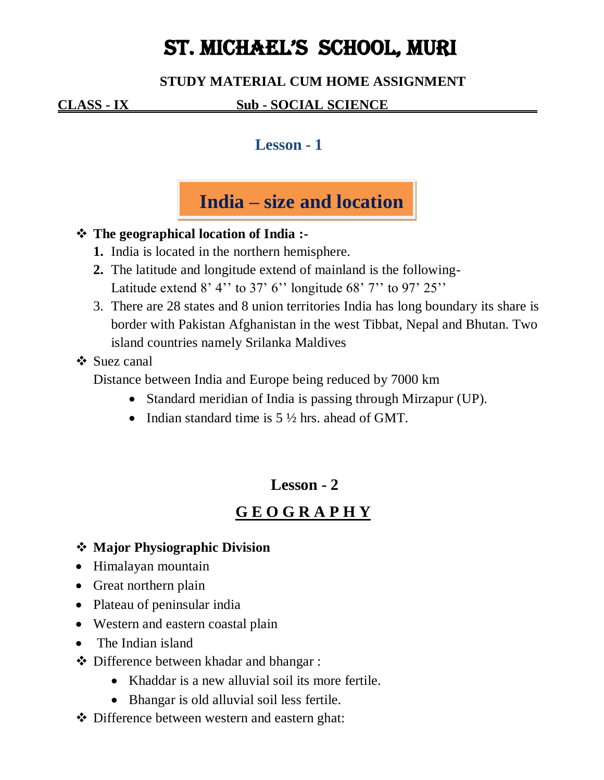# ST. MICHAEL'S SCHOOL, MURI

### **STUDY MATERIAL CUM HOME ASSIGNMENT**

### $\underline{\text{CLASS - IX}}$  **Sub - SOCIAL SCIENCE**

### **Lesson - 1**



### **The geographical location of India :-**

- **1.** India is located in the northern hemisphere.
- **2.** The latitude and longitude extend of mainland is the following-Latitude extend  $8'$  4'' to  $37'$  6'' longitude  $68'$  7'' to  $97'$   $25''$
- 3. There are 28 states and 8 union territories India has long boundary its share is border with Pakistan Afghanistan in the west Tibbat, Nepal and Bhutan. Two island countries namely Srilanka Maldives

### ❖ Suez canal

Distance between India and Europe being reduced by 7000 km

- Standard meridian of India is passing through Mirzapur (UP).
- Indian standard time is  $5\frac{1}{2}$  hrs. ahead of GMT.

### **Lesson - 2**

### **G E O G R A P H Y**

- **Major Physiographic Division**
- Himalayan mountain
- Great northern plain
- Plateau of peninsular india
- Western and eastern coastal plain
- The Indian island
- Difference between khadar and bhangar :
	- Khaddar is a new alluvial soil its more fertile.
	- Bhangar is old alluvial soil less fertile.
- Difference between western and eastern ghat: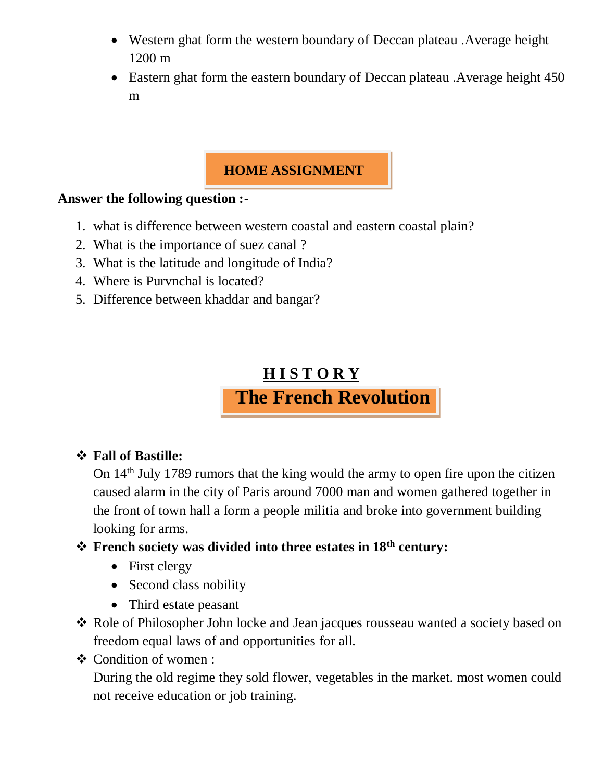- Western ghat form the western boundary of Deccan plateau .Average height 1200 m
- Eastern ghat form the eastern boundary of Deccan plateau . Average height 450 m

### **HOME ASSIGNMENT**

#### **Answer the following question :-**

- 1. what is difference between western coastal and eastern coastal plain?
- 2. What is the importance of suez canal ?
- 3. What is the latitude and longitude of India?
- 4. Where is Purvnchal is located?
- 5. Difference between khaddar and bangar?

## **H I S T O R Y The French Revolution**

#### **Fall of Bastille:**

On 14th July 1789 rumors that the king would the army to open fire upon the citizen caused alarm in the city of Paris around 7000 man and women gathered together in the front of town hall a form a people militia and broke into government building looking for arms.

### **French society was divided into three estates in 18th century:**

- First clergy
- Second class nobility
- Third estate peasant
- ◆ Role of Philosopher John locke and Jean jacques rousseau wanted a society based on freedom equal laws of and opportunities for all.
- Condition of women :

During the old regime they sold flower, vegetables in the market. most women could not receive education or job training.